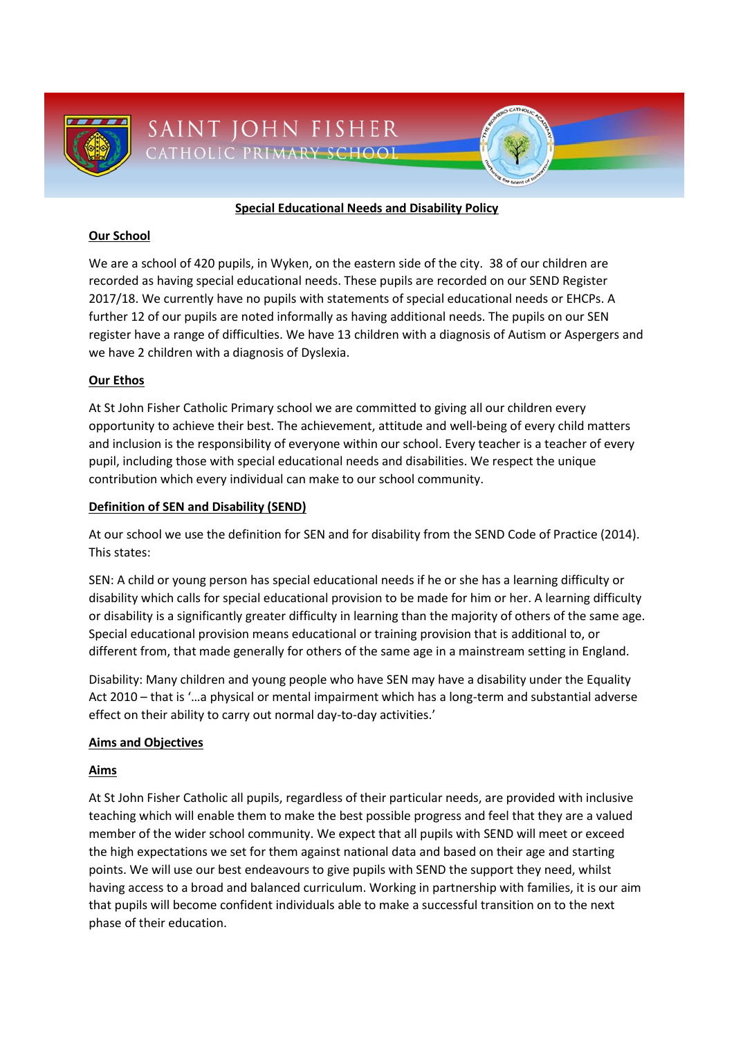

### **Special Educational Needs and Disability Policy**

### **Our School**

We are a school of 420 pupils, in Wyken, on the eastern side of the city. 38 of our children are recorded as having special educational needs. These pupils are recorded on our SEND Register 2017/18. We currently have no pupils with statements of special educational needs or EHCPs. A further 12 of our pupils are noted informally as having additional needs. The pupils on our SEN register have a range of difficulties. We have 13 children with a diagnosis of Autism or Aspergers and we have 2 children with a diagnosis of Dyslexia.

## **Our Ethos**

At St John Fisher Catholic Primary school we are committed to giving all our children every opportunity to achieve their best. The achievement, attitude and well-being of every child matters and inclusion is the responsibility of everyone within our school. Every teacher is a teacher of every pupil, including those with special educational needs and disabilities. We respect the unique contribution which every individual can make to our school community.

### **Definition of SEN and Disability (SEND)**

At our school we use the definition for SEN and for disability from the SEND Code of Practice (2014). This states:

SEN: A child or young person has special educational needs if he or she has a learning difficulty or disability which calls for special educational provision to be made for him or her. A learning difficulty or disability is a significantly greater difficulty in learning than the majority of others of the same age. Special educational provision means educational or training provision that is additional to, or different from, that made generally for others of the same age in a mainstream setting in England.

Disability: Many children and young people who have SEN may have a disability under the Equality Act 2010 – that is '…a physical or mental impairment which has a long-term and substantial adverse effect on their ability to carry out normal day-to-day activities.'

## **Aims and Objectives**

#### **Aims**

At St John Fisher Catholic all pupils, regardless of their particular needs, are provided with inclusive teaching which will enable them to make the best possible progress and feel that they are a valued member of the wider school community. We expect that all pupils with SEND will meet or exceed the high expectations we set for them against national data and based on their age and starting points. We will use our best endeavours to give pupils with SEND the support they need, whilst having access to a broad and balanced curriculum. Working in partnership with families, it is our aim that pupils will become confident individuals able to make a successful transition on to the next phase of their education.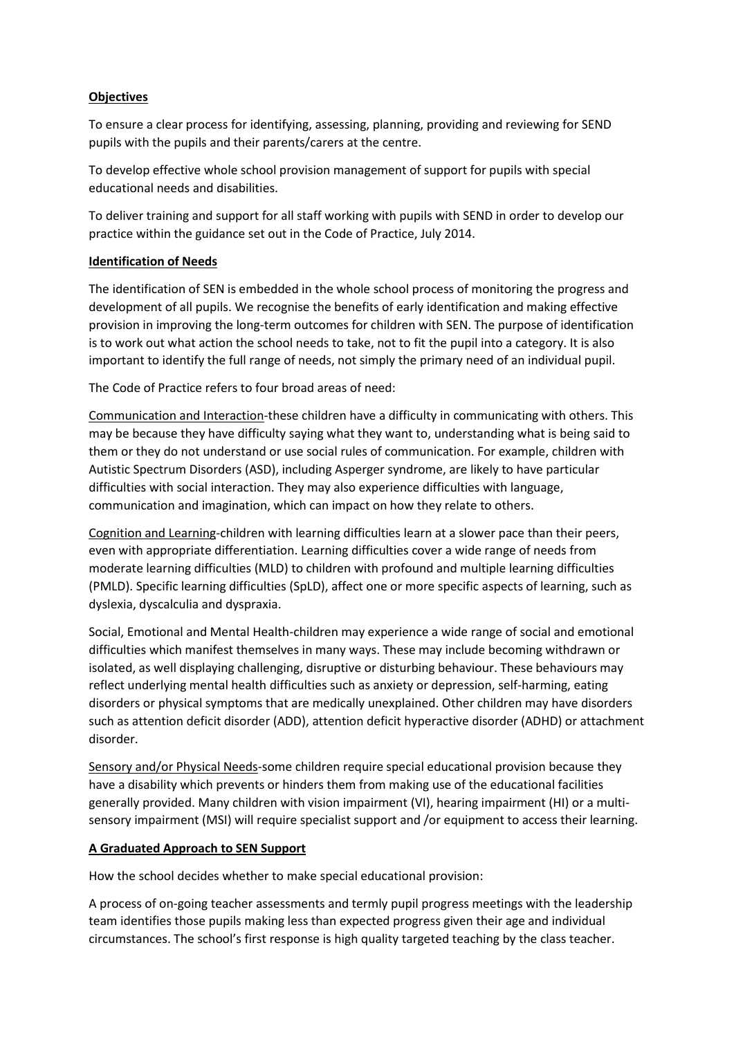### **Objectives**

To ensure a clear process for identifying, assessing, planning, providing and reviewing for SEND pupils with the pupils and their parents/carers at the centre.

To develop effective whole school provision management of support for pupils with special educational needs and disabilities.

To deliver training and support for all staff working with pupils with SEND in order to develop our practice within the guidance set out in the Code of Practice, July 2014.

### **Identification of Needs**

The identification of SEN is embedded in the whole school process of monitoring the progress and development of all pupils. We recognise the benefits of early identification and making effective provision in improving the long-term outcomes for children with SEN. The purpose of identification is to work out what action the school needs to take, not to fit the pupil into a category. It is also important to identify the full range of needs, not simply the primary need of an individual pupil.

The Code of Practice refers to four broad areas of need:

Communication and Interaction-these children have a difficulty in communicating with others. This may be because they have difficulty saying what they want to, understanding what is being said to them or they do not understand or use social rules of communication. For example, children with Autistic Spectrum Disorders (ASD), including Asperger syndrome, are likely to have particular difficulties with social interaction. They may also experience difficulties with language, communication and imagination, which can impact on how they relate to others.

Cognition and Learning-children with learning difficulties learn at a slower pace than their peers, even with appropriate differentiation. Learning difficulties cover a wide range of needs from moderate learning difficulties (MLD) to children with profound and multiple learning difficulties (PMLD). Specific learning difficulties (SpLD), affect one or more specific aspects of learning, such as dyslexia, dyscalculia and dyspraxia.

Social, Emotional and Mental Health-children may experience a wide range of social and emotional difficulties which manifest themselves in many ways. These may include becoming withdrawn or isolated, as well displaying challenging, disruptive or disturbing behaviour. These behaviours may reflect underlying mental health difficulties such as anxiety or depression, self-harming, eating disorders or physical symptoms that are medically unexplained. Other children may have disorders such as attention deficit disorder (ADD), attention deficit hyperactive disorder (ADHD) or attachment disorder.

Sensory and/or Physical Needs-some children require special educational provision because they have a disability which prevents or hinders them from making use of the educational facilities generally provided. Many children with vision impairment (VI), hearing impairment (HI) or a multisensory impairment (MSI) will require specialist support and /or equipment to access their learning.

#### **A Graduated Approach to SEN Support**

How the school decides whether to make special educational provision:

A process of on-going teacher assessments and termly pupil progress meetings with the leadership team identifies those pupils making less than expected progress given their age and individual circumstances. The school's first response is high quality targeted teaching by the class teacher.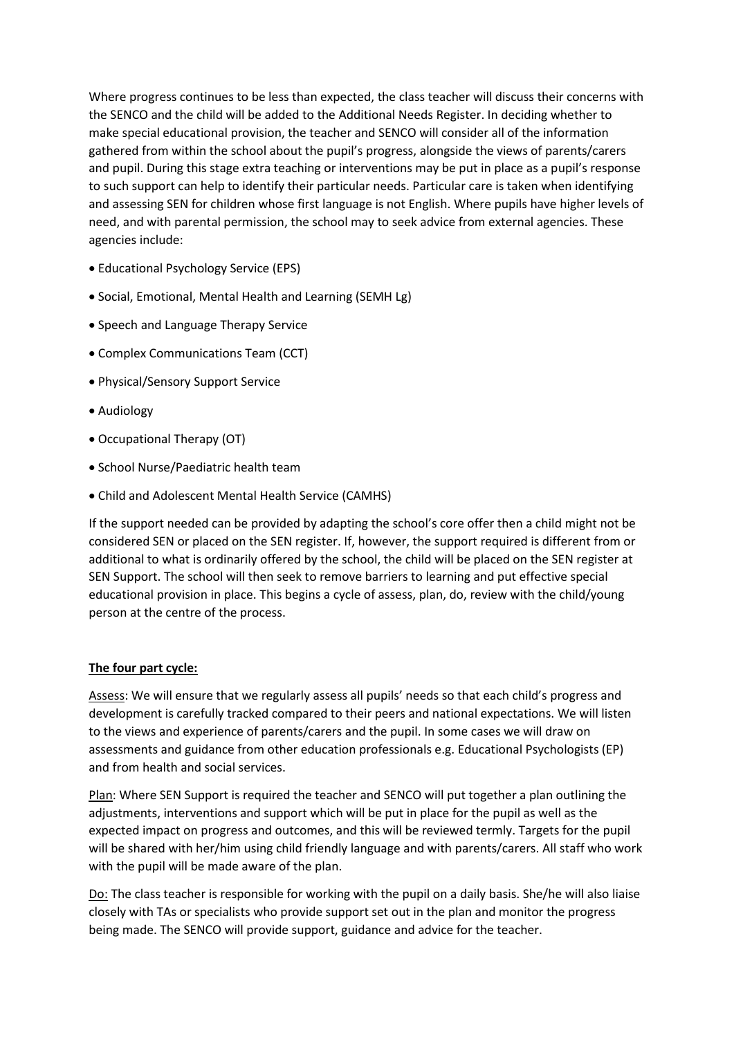Where progress continues to be less than expected, the class teacher will discuss their concerns with the SENCO and the child will be added to the Additional Needs Register. In deciding whether to make special educational provision, the teacher and SENCO will consider all of the information gathered from within the school about the pupil's progress, alongside the views of parents/carers and pupil. During this stage extra teaching or interventions may be put in place as a pupil's response to such support can help to identify their particular needs. Particular care is taken when identifying and assessing SEN for children whose first language is not English. Where pupils have higher levels of need, and with parental permission, the school may to seek advice from external agencies. These agencies include:

- Educational Psychology Service (EPS)
- Social, Emotional, Mental Health and Learning (SEMH Lg)
- Speech and Language Therapy Service
- Complex Communications Team (CCT)
- Physical/Sensory Support Service
- Audiology
- Occupational Therapy (OT)
- School Nurse/Paediatric health team
- Child and Adolescent Mental Health Service (CAMHS)

If the support needed can be provided by adapting the school's core offer then a child might not be considered SEN or placed on the SEN register. If, however, the support required is different from or additional to what is ordinarily offered by the school, the child will be placed on the SEN register at SEN Support. The school will then seek to remove barriers to learning and put effective special educational provision in place. This begins a cycle of assess, plan, do, review with the child/young person at the centre of the process.

## **The four part cycle:**

Assess: We will ensure that we regularly assess all pupils' needs so that each child's progress and development is carefully tracked compared to their peers and national expectations. We will listen to the views and experience of parents/carers and the pupil. In some cases we will draw on assessments and guidance from other education professionals e.g. Educational Psychologists (EP) and from health and social services.

Plan: Where SEN Support is required the teacher and SENCO will put together a plan outlining the adjustments, interventions and support which will be put in place for the pupil as well as the expected impact on progress and outcomes, and this will be reviewed termly. Targets for the pupil will be shared with her/him using child friendly language and with parents/carers. All staff who work with the pupil will be made aware of the plan.

Do: The class teacher is responsible for working with the pupil on a daily basis. She/he will also liaise closely with TAs or specialists who provide support set out in the plan and monitor the progress being made. The SENCO will provide support, guidance and advice for the teacher.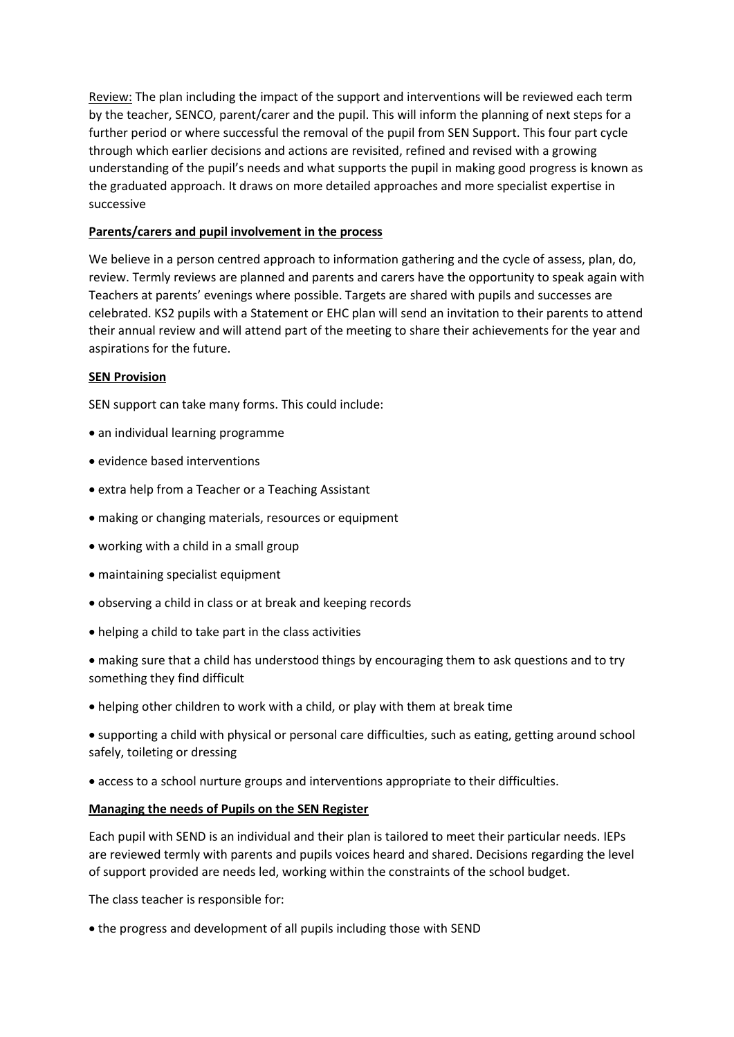Review: The plan including the impact of the support and interventions will be reviewed each term by the teacher, SENCO, parent/carer and the pupil. This will inform the planning of next steps for a further period or where successful the removal of the pupil from SEN Support. This four part cycle through which earlier decisions and actions are revisited, refined and revised with a growing understanding of the pupil's needs and what supports the pupil in making good progress is known as the graduated approach. It draws on more detailed approaches and more specialist expertise in successive

### **Parents/carers and pupil involvement in the process**

We believe in a person centred approach to information gathering and the cycle of assess, plan, do, review. Termly reviews are planned and parents and carers have the opportunity to speak again with Teachers at parents' evenings where possible. Targets are shared with pupils and successes are celebrated. KS2 pupils with a Statement or EHC plan will send an invitation to their parents to attend their annual review and will attend part of the meeting to share their achievements for the year and aspirations for the future.

#### **SEN Provision**

SEN support can take many forms. This could include:

- an individual learning programme
- evidence based interventions
- extra help from a Teacher or a Teaching Assistant
- making or changing materials, resources or equipment
- working with a child in a small group
- maintaining specialist equipment
- observing a child in class or at break and keeping records
- helping a child to take part in the class activities
- making sure that a child has understood things by encouraging them to ask questions and to try something they find difficult
- helping other children to work with a child, or play with them at break time
- supporting a child with physical or personal care difficulties, such as eating, getting around school safely, toileting or dressing
- access to a school nurture groups and interventions appropriate to their difficulties.

#### **Managing the needs of Pupils on the SEN Register**

Each pupil with SEND is an individual and their plan is tailored to meet their particular needs. IEPs are reviewed termly with parents and pupils voices heard and shared. Decisions regarding the level of support provided are needs led, working within the constraints of the school budget.

The class teacher is responsible for:

the progress and development of all pupils including those with SEND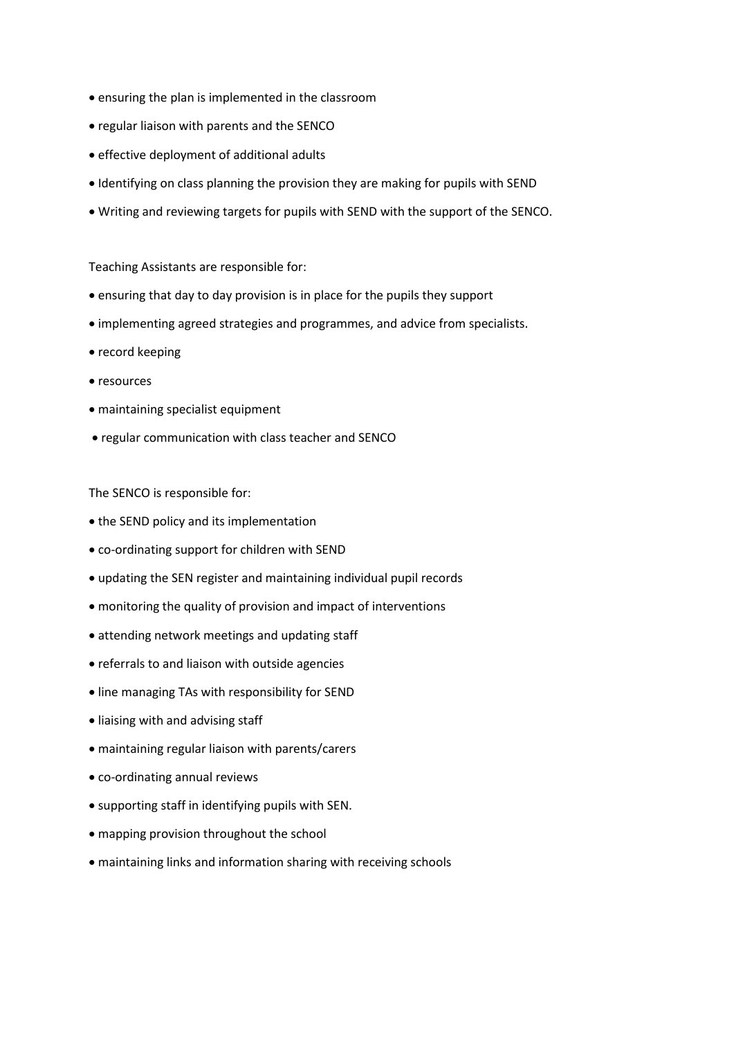- ensuring the plan is implemented in the classroom
- regular liaison with parents and the SENCO
- effective deployment of additional adults
- Identifying on class planning the provision they are making for pupils with SEND
- Writing and reviewing targets for pupils with SEND with the support of the SENCO.

Teaching Assistants are responsible for:

- ensuring that day to day provision is in place for the pupils they support
- implementing agreed strategies and programmes, and advice from specialists.
- record keeping
- resources
- maintaining specialist equipment
- regular communication with class teacher and SENCO

The SENCO is responsible for:

- the SEND policy and its implementation
- co-ordinating support for children with SEND
- updating the SEN register and maintaining individual pupil records
- monitoring the quality of provision and impact of interventions
- attending network meetings and updating staff
- referrals to and liaison with outside agencies
- line managing TAs with responsibility for SEND
- liaising with and advising staff
- maintaining regular liaison with parents/carers
- co-ordinating annual reviews
- supporting staff in identifying pupils with SEN.
- mapping provision throughout the school
- maintaining links and information sharing with receiving schools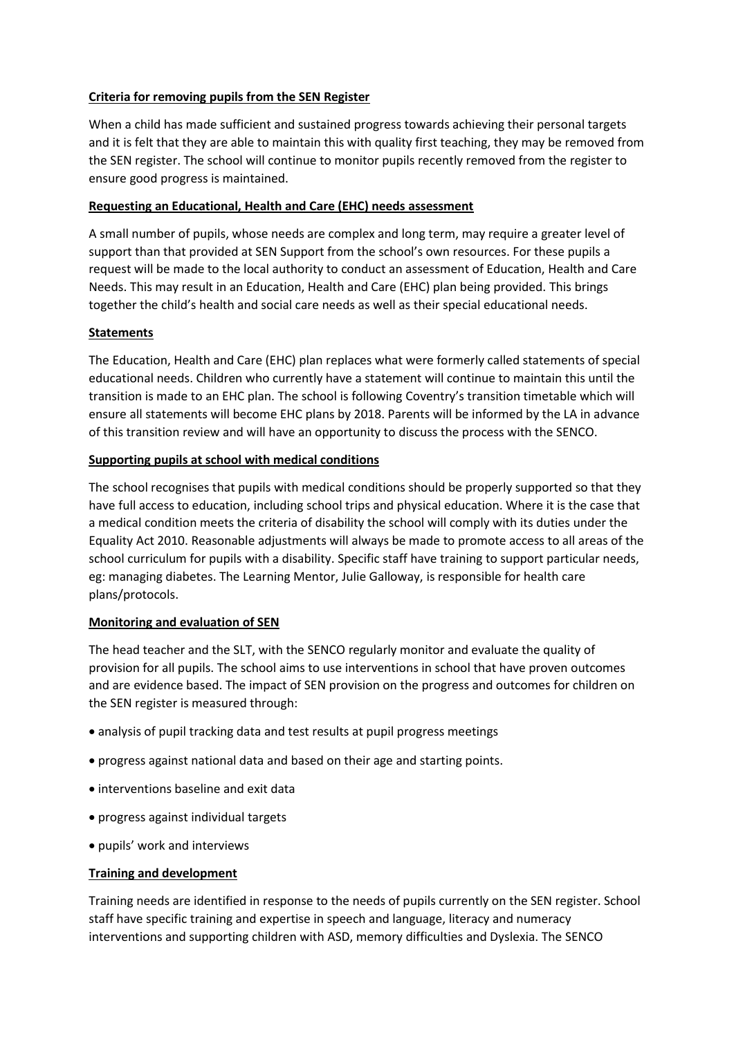### **Criteria for removing pupils from the SEN Register**

When a child has made sufficient and sustained progress towards achieving their personal targets and it is felt that they are able to maintain this with quality first teaching, they may be removed from the SEN register. The school will continue to monitor pupils recently removed from the register to ensure good progress is maintained.

### **Requesting an Educational, Health and Care (EHC) needs assessment**

A small number of pupils, whose needs are complex and long term, may require a greater level of support than that provided at SEN Support from the school's own resources. For these pupils a request will be made to the local authority to conduct an assessment of Education, Health and Care Needs. This may result in an Education, Health and Care (EHC) plan being provided. This brings together the child's health and social care needs as well as their special educational needs.

## **Statements**

The Education, Health and Care (EHC) plan replaces what were formerly called statements of special educational needs. Children who currently have a statement will continue to maintain this until the transition is made to an EHC plan. The school is following Coventry's transition timetable which will ensure all statements will become EHC plans by 2018. Parents will be informed by the LA in advance of this transition review and will have an opportunity to discuss the process with the SENCO.

### **Supporting pupils at school with medical conditions**

The school recognises that pupils with medical conditions should be properly supported so that they have full access to education, including school trips and physical education. Where it is the case that a medical condition meets the criteria of disability the school will comply with its duties under the Equality Act 2010. Reasonable adjustments will always be made to promote access to all areas of the school curriculum for pupils with a disability. Specific staff have training to support particular needs, eg: managing diabetes. The Learning Mentor, Julie Galloway, is responsible for health care plans/protocols.

#### **Monitoring and evaluation of SEN**

The head teacher and the SLT, with the SENCO regularly monitor and evaluate the quality of provision for all pupils. The school aims to use interventions in school that have proven outcomes and are evidence based. The impact of SEN provision on the progress and outcomes for children on the SEN register is measured through:

- analysis of pupil tracking data and test results at pupil progress meetings
- progress against national data and based on their age and starting points.
- interventions baseline and exit data
- progress against individual targets
- pupils' work and interviews

## **Training and development**

Training needs are identified in response to the needs of pupils currently on the SEN register. School staff have specific training and expertise in speech and language, literacy and numeracy interventions and supporting children with ASD, memory difficulties and Dyslexia. The SENCO